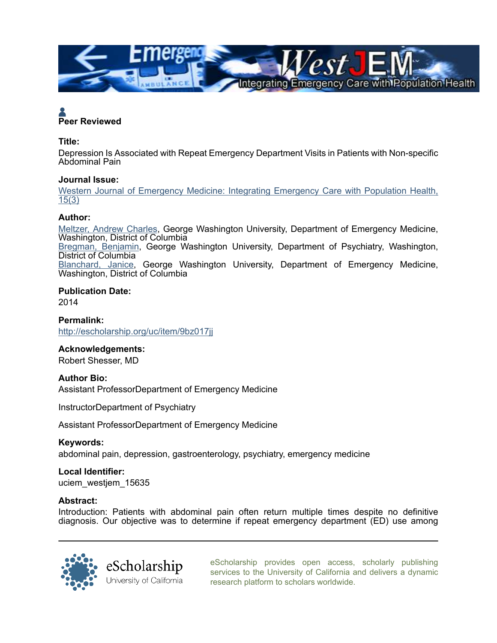

# Peer Reviewed

#### Title:

Depression Is Associated with Repeat Emergency Department Visits in Patients with Non-specific Abdominal Pain

#### Journal Issue:

[Western Journal of Emergency Medicine: Integrating Emergency Care with Population Health,](http://escholarship.org/uc/uciem_westjem?volume=15;issue=3)  $15(3)$ 

#### Author:

[Meltzer, Andrew Charles,](http://escholarship.org/uc/search?creator=Meltzer%2C%20Andrew%20Charles) George Washington University, Department of Emergency Medicine, Washington, District of Columbia

[Bregman, Benjamin](http://escholarship.org/uc/search?creator=Bregman%2C%20Benjamin), George Washington University, Department of Psychiatry, Washington, District of Columbia

[Blanchard, Janice,](http://escholarship.org/uc/search?creator=Blanchard%2C%20Janice) George Washington University, Department of Emergency Medicine, Washington, District of Columbia

#### Publication Date:

2014

#### Permalink: <http://escholarship.org/uc/item/9bz017jj>

# Acknowledgements:

Robert Shesser, MD

# Author Bio:

Assistant ProfessorDepartment of Emergency Medicine

InstructorDepartment of Psychiatry

Assistant ProfessorDepartment of Emergency Medicine

#### Keywords:

abdominal pain, depression, gastroenterology, psychiatry, emergency medicine

# Local Identifier:

uciem\_westjem\_15635

# Abstract:

Introduction: Patients with abdominal pain often return multiple times despite no definitive diagnosis. Our objective was to determine if repeat emergency department (ED) use among



[eScholarship provides open access, scholarly publishing](http://escholarship.org) [services to the University of California and delivers a dynamic](http://escholarship.org) [research platform to scholars worldwide.](http://escholarship.org)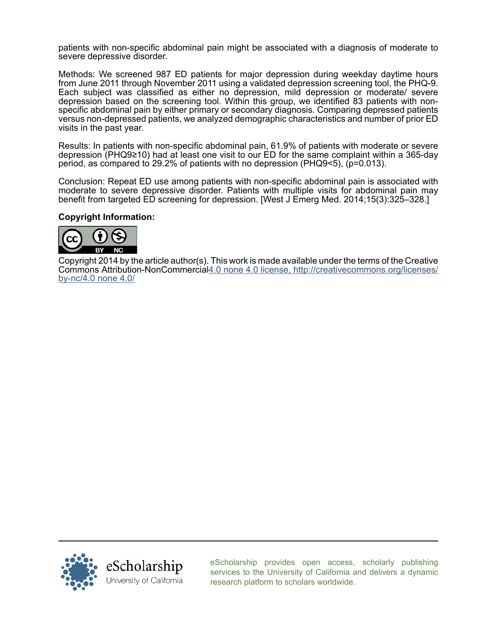patients with non-specific abdominal pain might be associated with a diagnosis of moderate to severe depressive disorder.

Methods: We screened 987 ED patients for major depression during weekday daytime hours from June 2011 through November 2011 using a validated depression screening tool, the PHQ-9. Each subject was classified as either no depression, mild depression or moderate/ severe depression based on the screening tool. Within this group, we identified 83 patients with nonspecific abdominal pain by either primary or secondary diagnosis. Comparing depressed patients versus non-depressed patients, we analyzed demographic characteristics and number of prior ED visits in the past year.

Results: In patients with non-specific abdominal pain, 61.9% of patients with moderate or severe depression (PHQ9≥10) had at least one visit to our ED for the same complaint within a 365-day period, as compared to 29.2% of patients with no depression (PHQ9<5), (p=0.013).

Conclusion: Repeat ED use among patients with non-specific abdominal pain is associated with moderate to severe depressive disorder. Patients with multiple visits for abdominal pain may benefit from targeted ED screening for depression. [West J Emerg Med. 2014;15(3):325–328.]

#### Copyright Information:



Copyright 2014 by the article author(s). This work is made available under the terms of the Creative Commons Attribution-NonCommercia[l4.0 none 4.0 license, http://creativecommons.org/licenses/](http://creativecommons.org/licenses/by-nc/4.0 none 4.0/) [by-nc/4.0 none 4.0/](http://creativecommons.org/licenses/by-nc/4.0 none 4.0/)



[eScholarship provides open access, scholarly publishing](http://escholarship.org) [services to the University of California and delivers a dynamic](http://escholarship.org) [research platform to scholars worldwide.](http://escholarship.org)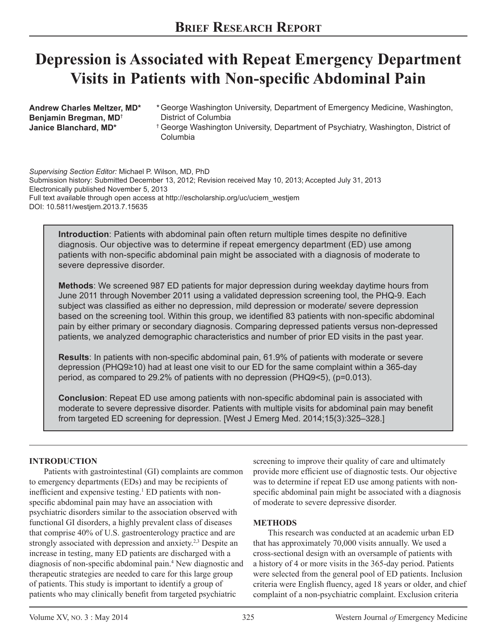# **Depression is Associated with Repeat Emergency Department Visits in Patients with Non-specific Abdominal Pain**

**Andrew Charles Meltzer, MD\* Benjamin Bregman, MD**† **Janice Blanchard, MD\*** 

- George Washington University, Department of Emergency Medicine, Washington, \* District of Columbia
- † George Washington University, Department of Psychiatry, Washington, District of Columbia

*Supervising Section Editor:* Michael P. Wilson, MD, PhD Submission history: Submitted December 13, 2012; Revision received May 10, 2013; Accepted July 31, 2013 Electronically published November 5, 2013 Full text available through open access at http://escholarship.org/uc/uciem\_westjem DOI: 10.5811/westjem.2013.7.15635

**Introduction**: Patients with abdominal pain often return multiple times despite no definitive diagnosis. Our objective was to determine if repeat emergency department (ED) use among patients with non-specific abdominal pain might be associated with a diagnosis of moderate to severe depressive disorder.

**Methods**: We screened 987 ED patients for major depression during weekday daytime hours from June 2011 through November 2011 using a validated depression screening tool, the PHQ-9. Each subject was classified as either no depression, mild depression or moderate/ severe depression based on the screening tool. Within this group, we identified 83 patients with non-specific abdominal pain by either primary or secondary diagnosis. Comparing depressed patients versus non-depressed patients, we analyzed demographic characteristics and number of prior ED visits in the past year.

**Results**: In patients with non-specific abdominal pain, 61.9% of patients with moderate or severe depression (PHQ9≥10) had at least one visit to our ED for the same complaint within a 365-day period, as compared to 29.2% of patients with no depression (PHQ9<5), (p=0.013).

**Conclusion**: Repeat ED use among patients with non-specific abdominal pain is associated with moderate to severe depressive disorder. Patients with multiple visits for abdominal pain may benefit from targeted ED screening for depression. [West J Emerg Med. 2014;15(3):325–328.]

#### **INTRODUCTION**

Patients with gastrointestinal (GI) complaints are common to emergency departments (EDs) and may be recipients of inefficient and expensive testing.<sup>1</sup> ED patients with nonspecific abdominal pain may have an association with psychiatric disorders similar to the association observed with functional GI disorders, a highly prevalent class of diseases that comprise 40% of U.S. gastroenterology practice and are strongly associated with depression and anxiety.<sup>2,3</sup> Despite an increase in testing, many ED patients are discharged with a diagnosis of non-specific abdominal pain.<sup>4</sup> New diagnostic and therapeutic strategies are needed to care for this large group of patients. This study is important to identify a group of patients who may clinically benefit from targeted psychiatric

screening to improve their quality of care and ultimately provide more efficient use of diagnostic tests. Our objective was to determine if repeat ED use among patients with nonspecific abdominal pain might be associated with a diagnosis of moderate to severe depressive disorder.

#### **METHODS**

This research was conducted at an academic urban ED that has approximately 70,000 visits annually. We used a cross-sectional design with an oversample of patients with a history of 4 or more visits in the 365-day period. Patients were selected from the general pool of ED patients. Inclusion criteria were English fluency, aged 18 years or older, and chief complaint of a non-psychiatric complaint. Exclusion criteria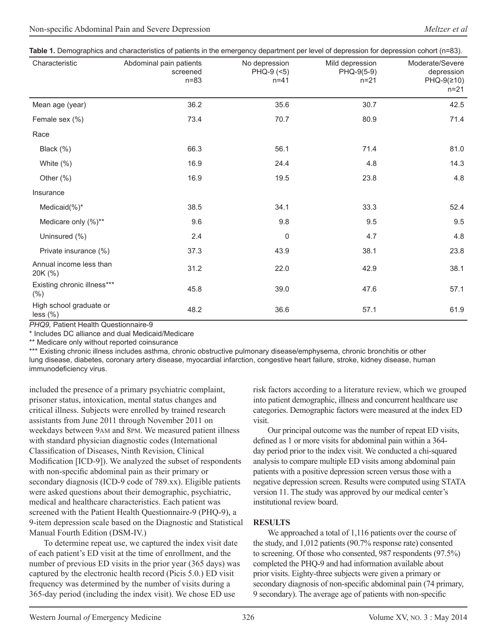|  | Table 1. Demographics and characteristics of patients in the emergency department per level of depression for depression cohort (n=83). |  |  |  |  |  |  |
|--|-----------------------------------------------------------------------------------------------------------------------------------------|--|--|--|--|--|--|
|--|-----------------------------------------------------------------------------------------------------------------------------------------|--|--|--|--|--|--|

| Characteristic                         | Abdominal pain patients<br>screened<br>$n = 83$ | No depression<br>PHQ-9 (<5)<br>$n = 41$ | Mild depression<br>PHQ-9(5-9)<br>$n = 21$ | Moderate/Severe<br>depression<br>PHQ-9(≥10)<br>$n = 21$ |
|----------------------------------------|-------------------------------------------------|-----------------------------------------|-------------------------------------------|---------------------------------------------------------|
| Mean age (year)                        | 36.2                                            | 35.6                                    | 30.7                                      | 42.5                                                    |
| Female sex (%)                         | 73.4                                            | 70.7                                    | 80.9                                      | 71.4                                                    |
| Race                                   |                                                 |                                         |                                           |                                                         |
| Black (%)                              | 66.3                                            | 56.1                                    | 71.4                                      | 81.0                                                    |
| White (%)                              | 16.9                                            | 24.4                                    | 4.8                                       | 14.3                                                    |
| Other $(\%)$                           | 16.9                                            | 19.5                                    | 23.8                                      | 4.8                                                     |
| Insurance                              |                                                 |                                         |                                           |                                                         |
| Medicaid $(\%)^*$                      | 38.5                                            | 34.1                                    | 33.3                                      | 52.4                                                    |
| Medicare only (%)**                    | 9.6                                             | 9.8                                     | 9.5                                       | 9.5                                                     |
| Uninsured (%)                          | 2.4                                             | 0                                       | 4.7                                       | 4.8                                                     |
| Private insurance (%)                  | 37.3                                            | 43.9                                    | 38.1                                      | 23.8                                                    |
| Annual income less than<br>20K (%)     | 31.2                                            | 22.0                                    | 42.9                                      | 38.1                                                    |
| Existing chronic illness***<br>$(\% )$ | 45.8                                            | 39.0                                    | 47.6                                      | 57.1                                                    |
| High school graduate or<br>$less (\%)$ | 48.2                                            | 36.6                                    | 57.1                                      | 61.9                                                    |

*PHQ9,* Patient Health Questionnaire-9

\* Includes DC alliance and dual Medicaid/Medicare

\*\* Medicare only without reported coinsurance

\*\*\* Existing chronic illness includes asthma, chronic obstructive pulmonary disease/emphysema, chronic bronchitis or other lung disease, diabetes, coronary artery disease, myocardial infarction, congestive heart failure, stroke, kidney disease, human immunodeficiency virus.

included the presence of a primary psychiatric complaint, prisoner status, intoxication, mental status changes and critical illness. Subjects were enrolled by trained research assistants from June 2011 through November 2011 on weekdays between 9AM and 8PM. We measured patient illness with standard physician diagnostic codes (International Classification of Diseases, Ninth Revision, Clinical Modification [ICD-9]). We analyzed the subset of respondents with non-specific abdominal pain as their primary or secondary diagnosis (ICD-9 code of 789.xx). Eligible patients were asked questions about their demographic, psychiatric, medical and healthcare characteristics. Each patient was screened with the Patient Health Questionnaire-9 (PHQ-9), a 9-item depression scale based on the Diagnostic and Statistical Manual Fourth Edition (DSM-IV.)

To determine repeat use, we captured the index visit date of each patient's ED visit at the time of enrollment, and the number of previous ED visits in the prior year (365 days) was captured by the electronic health record (Picis 5.0.) ED visit frequency was determined by the number of visits during a 365-day period (including the index visit). We chose ED use

risk factors according to a literature review, which we grouped into patient demographic, illness and concurrent healthcare use categories. Demographic factors were measured at the index ED visit.

Our principal outcome was the number of repeat ED visits, defined as 1 or more visits for abdominal pain within a 364 day period prior to the index visit. We conducted a chi-squared analysis to compare multiple ED visits among abdominal pain patients with a positive depression screen versus those with a negative depression screen. Results were computed using STATA version 11. The study was approved by our medical center's institutional review board.

# **RESULTS**

We approached a total of 1,116 patients over the course of the study, and 1,012 patients (90.7% response rate) consented to screening. Of those who consented, 987 respondents (97.5%) completed the PHQ-9 and had information available about prior visits. Eighty-three subjects were given a primary or secondary diagnosis of non-specific abdominal pain (74 primary, 9 secondary). The average age of patients with non-specific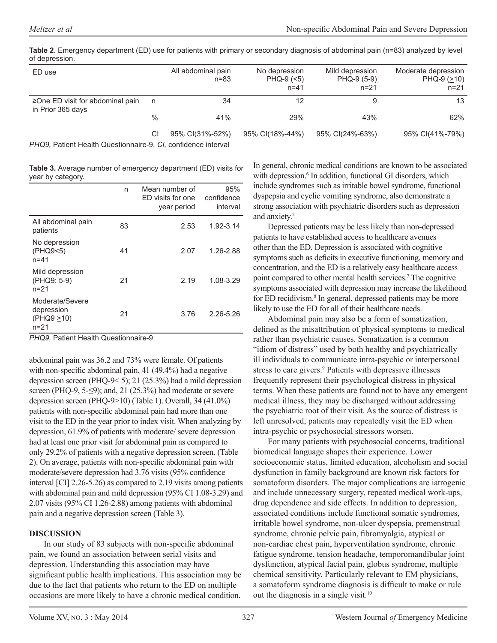| ED use                                                      |      | All abdominal pain<br>$n = 83$ | No depression<br>$PHQ-9$ (<5)<br>$n = 41$ | Mild depression<br>PHQ-9 (5-9)<br>$n = 21$ | Moderate depression<br>$PHQ-9 (210)$<br>$n = 21$ |
|-------------------------------------------------------------|------|--------------------------------|-------------------------------------------|--------------------------------------------|--------------------------------------------------|
| $\geq$ One ED visit for abdominal pain<br>in Prior 365 days | n    | 34                             | 12                                        |                                            | 13                                               |
|                                                             | $\%$ | 41%                            | 29%                                       | 43%                                        | 62%                                              |
|                                                             | СI   | 95% CI(31%-52%)                | 95% CI(18%-44%)                           | 95% CI(24%-63%)                            | 95% CI(41%-79%)                                  |
| BHOO Betiant Health Questionnaire Q. CL confidence interval |      |                                |                                           |                                            |                                                  |

**Table 2**. Emergency department (ED) use for patients with primary or secondary diagnosis of abdominal pain (n=83) analyzed by level of depression.

*PHQ9,* Patient Health Questionnaire-9, *CI,* confidence interval

| Table 3. Average number of emergency department (ED) visits for |  |
|-----------------------------------------------------------------|--|
| year by category.                                               |  |

|                                                          | n  | Mean number of<br>FD visits for one<br>year period | 95%<br>confidence<br>interval |
|----------------------------------------------------------|----|----------------------------------------------------|-------------------------------|
| All abdominal pain<br>patients                           | 83 | 2.53                                               | 1.92-3.14                     |
| No depression<br>(PHQ9<5)<br>$n = 41$                    | 41 | 2.07                                               | 1.26-2.88                     |
| Mild depression<br>(PHQ9: 5-9)<br>$n = 21$               | 21 | 2.19                                               | 1.08-3.29                     |
| Moderate/Severe<br>depression<br>$(PHQ9 \ge 10)$<br>n=21 | 21 | 3.76                                               | 2.26-5.26                     |

*PHQ9,* Patient Health Questionnaire-9

abdominal pain was 36.2 and 73% were female. Of patients with non-specific abdominal pain, 41 (49.4%) had a negative depression screen (PHQ-9< 5); 21 (25.3%) had a mild depression screen (PHQ-9, 5-≤9); and, 21 (25.3%) had moderate or severe depression screen (PHQ-9>10) (Table 1). Overall, 34 (41.0%) patients with non-specific abdominal pain had more than one visit to the ED in the year prior to index visit. When analyzing by depression, 61.9% of patients with moderate/ severe depression had at least one prior visit for abdominal pain as compared to only 29.2% of patients with a negative depression screen. (Table 2). On average, patients with non-specific abdominal pain with moderate/severe depression had 3.76 visits (95% confidence interval [CI] 2.26-5.26) as compared to 2.19 visits among patients with abdominal pain and mild depression (95% CI 1.08-3.29) and 2.07 visits (95% CI 1.26-2.88) among patients with abdominal pain and a negative depression screen (Table 3).

# **DISCUSSION**

In our study of 83 subjects with non-specific abdominal pain, we found an association between serial visits and depression. Understanding this association may have significant public health implications. This association may be due to the fact that patients who return to the ED on multiple occasions are more likely to have a chronic medical condition.

In general, chronic medical conditions are known to be associated with depression.<sup>6</sup> In addition, functional GI disorders, which include syndromes such as irritable bowel syndrome, functional dyspepsia and cyclic vomiting syndrome, also demonstrate a strong association with psychiatric disorders such as depression and anxiety.<sup>2</sup>

Depressed patients may be less likely than non-depressed patients to have established access to healthcare avenues other than the ED. Depression is associated with cognitive symptoms such as deficits in executive functioning, memory and concentration, and the ED is a relatively easy healthcare access point compared to other mental health services.<sup>7</sup> The cognitive symptoms associated with depression may increase the likelihood for ED recidivism.<sup>8</sup> In general, depressed patients may be more likely to use the ED for all of their healthcare needs.

Abdominal pain may also be a form of somatization, defined as the misattribution of physical symptoms to medical rather than psychiatric causes. Somatization is a common "idiom of distress" used by both healthy and psychiatrically ill individuals to communicate intra-psychic or interpersonal stress to care givers.<sup>9</sup> Patients with depressive illnesses frequently represent their psychological distress in physical terms. When these patients are found not to have any emergent medical illness, they may be discharged without addressing the psychiatric root of their visit. As the source of distress is left unresolved, patients may repeatedly visit the ED when intra-psychic or psychosocial stressors worsen.

For many patients with psychosocial concerns, traditional biomedical language shapes their experience. Lower socioeconomic status, limited education, alcoholism and social dysfunction in family background are known risk factors for somatoform disorders. The major complications are iatrogenic and include unnecessary surgery, repeated medical work-ups, drug dependence and side effects. In addition to depression, associated conditions include functional somatic syndromes, irritable bowel syndrome, non-ulcer dyspepsia, premenstrual syndrome, chronic pelvic pain, fibromyalgia, atypical or non-cardiac chest pain, hyperventilation syndrome, chronic fatigue syndrome, tension headache, temporomandibular joint dysfunction, atypical facial pain, globus syndrome, multiple chemical sensitivity. Particularly relevant to EM physicians, a somatoform syndrome diagnosis is difficult to make or rule out the diagnosis in a single visit.<sup>10</sup>